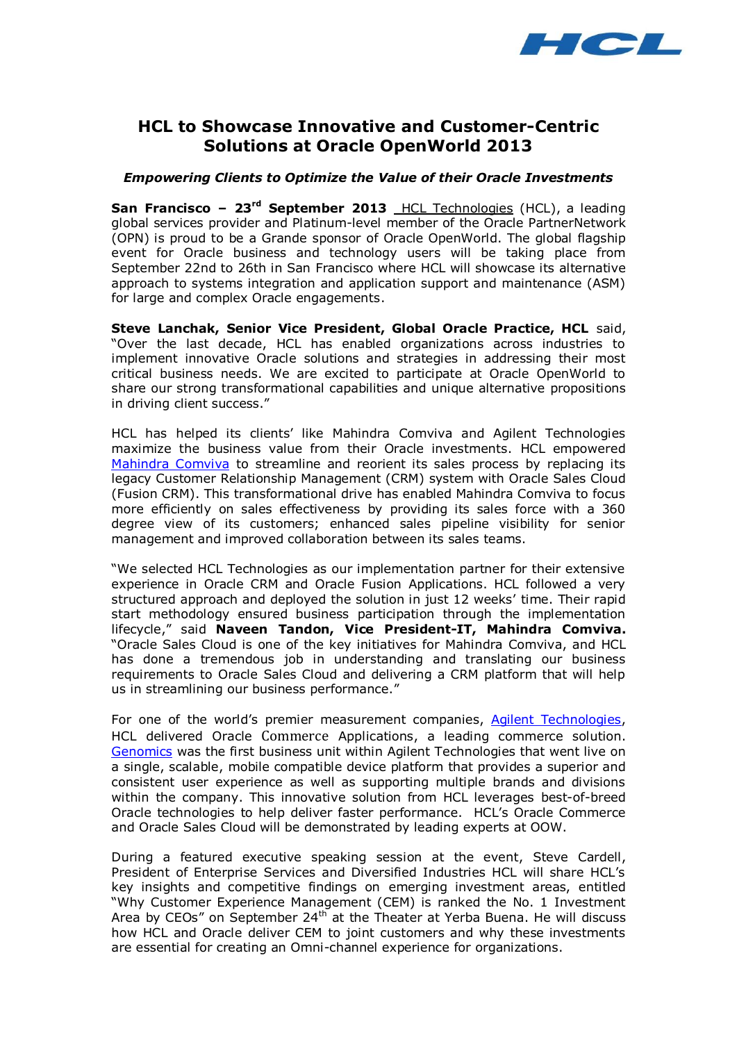

# **HCL to Showcase Innovative and Customer-Centric Solutions at Oracle OpenWorld 2013**

## *Empowering Clients to Optimize the Value of their Oracle Investments*

**San Francisco – 23 rd September 2013** [HCL Technologies](http://www.hcltech.com/) (HCL), a leading global services provider and Platinum-level member of the Oracle PartnerNetwork (OPN) is proud to be a Grande sponsor of Oracle OpenWorld. The global flagship event for Oracle business and technology users will be taking place from September 22nd to 26th in San Francisco where HCL will showcase its alternative approach to systems integration and application support and maintenance (ASM) for large and complex Oracle engagements.

**Steve Lanchak, Senior Vice President, Global Oracle Practice, HCL** said, "Over the last decade, HCL has enabled organizations across industries to implement innovative Oracle solutions and strategies in addressing their most critical business needs. We are excited to participate at Oracle OpenWorld to share our strong transformational capabilities and unique alternative propositions in driving client success."

HCL has helped its clients" like Mahindra Comviva and Agilent Technologies maximize the business value from their Oracle investments. HCL empowered [Mahindra Comviva](http://www.mahindracomviva.com/) to streamline and reorient its sales process by replacing its legacy Customer Relationship Management (CRM) system with Oracle Sales Cloud (Fusion CRM). This transformational drive has enabled Mahindra Comviva to focus more efficiently on sales effectiveness by providing its sales force with a 360 degree view of its customers; enhanced sales pipeline visibility for senior management and improved collaboration between its sales teams.

"We selected HCL Technologies as our implementation partner for their extensive experience in Oracle CRM and Oracle Fusion Applications. HCL followed a very structured approach and deployed the solution in just 12 weeks' time. Their rapid start methodology ensured business participation through the implementation lifecycle," said **Naveen Tandon, Vice President-IT, Mahindra Comviva.** "Oracle Sales Cloud is one of the key initiatives for Mahindra Comviva, and HCL has done a tremendous job in understanding and translating our business requirements to Oracle Sales Cloud and delivering a CRM platform that will help us in streamlining our business performance."

For one of the world's premier measurement companies, [Agilent Technologies,](http://www.home.agilent.com/agilent/home.jspx?cc=GB&lc=eng) HCL delivered Oracle Commerce Applications, a leading commerce solution. [Genomics](http://www.genomics.agilent.com/article.jsp?pageId=800001&_requestid=8293) was the first business unit within Agilent Technologies that went live on a single, scalable, mobile compatible device platform that provides a superior and consistent user experience as well as supporting multiple brands and divisions within the company. This innovative solution from HCL leverages best-of-breed Oracle technologies to help deliver faster performance. HCL"s Oracle Commerce and Oracle Sales Cloud will be demonstrated by leading experts at OOW.

During a featured executive speaking session at the event, Steve Cardell, President of Enterprise Services and Diversified Industries HCL will share HCL"s key insights and competitive findings on emerging investment areas, entitled "Why Customer Experience Management (CEM) is ranked the No. 1 Investment Area by CEOs" on September  $24<sup>th</sup>$  at the Theater at Yerba Buena. He will discuss how HCL and Oracle deliver CEM to joint customers and why these investments are essential for creating an Omni-channel experience for organizations.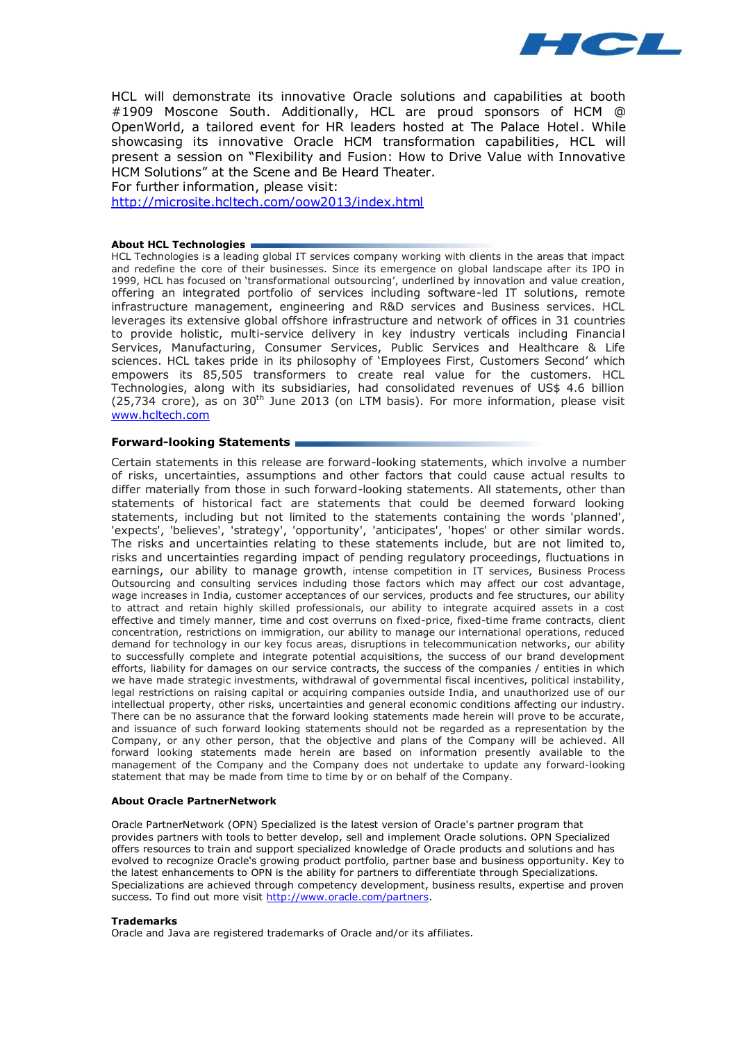

HCL will demonstrate its innovative Oracle solutions and capabilities at booth #1909 Moscone South. Additionally, HCL are proud sponsors of HCM @ OpenWorld, a tailored event for HR leaders hosted at The Palace Hotel. While showcasing its innovative Oracle HCM transformation capabilities, HCL will present a session on "Flexibility and Fusion: How to Drive Value with Innovative HCM Solutions" at the Scene and Be Heard Theater.

For further information, please visit:

<http://microsite.hcltech.com/oow2013/index.html>

#### **About HCL Technologies**

HCL Technologies is a leading global IT services company working with clients in the areas that impact and redefine the core of their businesses. Since its emergence on global landscape after its IPO in 1999, HCL has focused on "transformational outsourcing", underlined by innovation and value creation, offering an integrated portfolio of services including software-led IT solutions, remote infrastructure management, engineering and R&D services and Business services. HCL leverages its extensive global offshore infrastructure and network of offices in 31 countries to provide holistic, multi-service delivery in key industry verticals including Financial Services, Manufacturing, Consumer Services, Public Services and Healthcare & Life sciences. HCL takes pride in its philosophy of "Employees First, Customers Second" which empowers its 85,505 transformers to create real value for the customers. HCL Technologies, along with its subsidiaries, had consolidated revenues of US\$ 4.6 billion (25,734 crore), as on 30<sup>th</sup> June 2013 (on LTM basis). For more information, please visit [www.hcltech.com](http://www.hcltech.com/)

## **Forward-looking Statements**

Certain statements in this release are forward-looking statements, which involve a number of risks, uncertainties, assumptions and other factors that could cause actual results to differ materially from those in such forward-looking statements. All statements, other than statements of historical fact are statements that could be deemed forward looking statements, including but not limited to the statements containing the words 'planned', 'expects', 'believes', 'strategy', 'opportunity', 'anticipates', 'hopes' or other similar words. The risks and uncertainties relating to these statements include, but are not limited to, risks and uncertainties regarding impact of pending regulatory proceedings, fluctuations in earnings, our ability to manage growth, intense competition in IT services, Business Process Outsourcing and consulting services including those factors which may affect our cost advantage, wage increases in India, customer acceptances of our services, products and fee structures, our ability to attract and retain highly skilled professionals, our ability to integrate acquired assets in a cost effective and timely manner, time and cost overruns on fixed-price, fixed-time frame contracts, client concentration, restrictions on immigration, our ability to manage our international operations, reduced demand for technology in our key focus areas, disruptions in telecommunication networks, our ability to successfully complete and integrate potential acquisitions, the success of our brand development efforts, liability for damages on our service contracts, the success of the companies / entities in which we have made strategic investments, withdrawal of governmental fiscal incentives, political instability, legal restrictions on raising capital or acquiring companies outside India, and unauthorized use of our intellectual property, other risks, uncertainties and general economic conditions affecting our industry. There can be no assurance that the forward looking statements made herein will prove to be accurate, and issuance of such forward looking statements should not be regarded as a representation by the Company, or any other person, that the objective and plans of the Company will be achieved. All forward looking statements made herein are based on information presently available to the management of the Company and the Company does not undertake to update any forward-looking statement that may be made from time to time by or on behalf of the Company.

### **About Oracle PartnerNetwork**

Oracle PartnerNetwork (OPN) Specialized is the latest version of Oracle's partner program that provides partners with tools to better develop, sell and implement Oracle solutions. OPN Specialized offers resources to train and support specialized knowledge of Oracle products and solutions and has evolved to recognize Oracle's growing product portfolio, partner base and business opportunity. Key to the latest enhancements to OPN is the ability for partners to differentiate through Specializations. Specializations are achieved through competency development, business results, expertise and proven success. To find out more visit [http://www.oracle.com/partners.](http://www.oracle.com/partners)

### **Trademarks**

Oracle and Java are registered trademarks of Oracle and/or its affiliates.